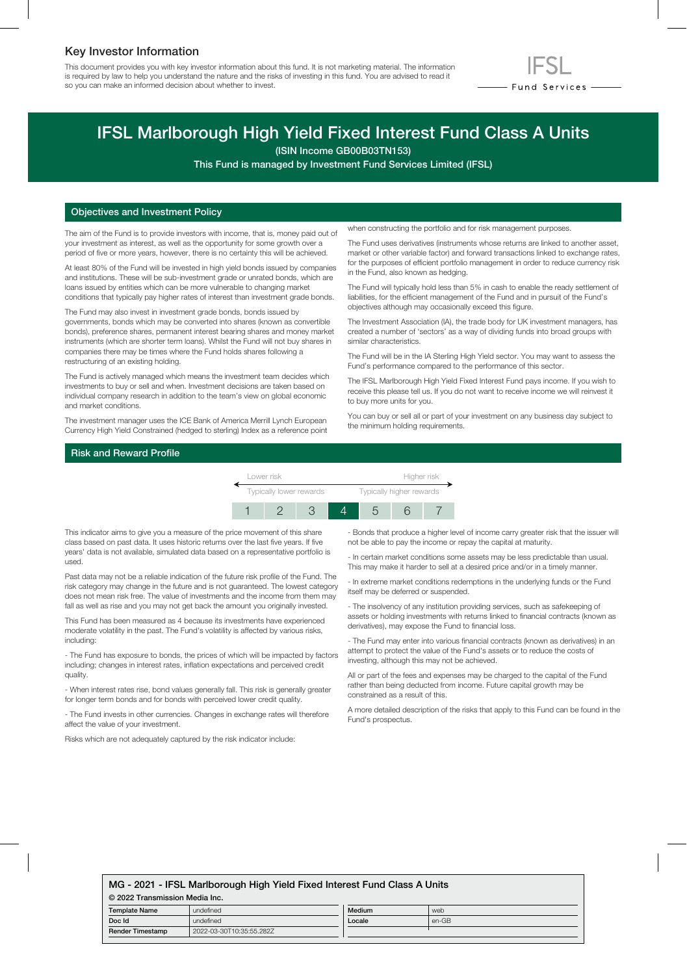## Key Investor Information

This document provides you with key investor information about this fund. It is not marketing material. The information is required by law to help you understand the nature and the risks of investing in this fund. You are advised to read it so you can make an informed decision about whether to invest.



# IFSL Marlborough High Yield Fixed Interest Fund Class A Units

(ISIN Income GB00B03TN153)

This Fund is managed by Investment Fund Services Limited (IFSL)

## Objectives and Investment Policy

The aim of the Fund is to provide investors with income, that is, money paid out of your investment as interest, as well as the opportunity for some growth over a period of five or more years, however, there is no certainty this will be achieved.

At least 80% of the Fund will be invested in high yield bonds issued by companies and institutions. These will be sub-investment grade or unrated bonds, which are loans issued by entities which can be more vulnerable to changing market conditions that typically pay higher rates of interest than investment grade bonds.

The Fund may also invest in investment grade bonds, bonds issued by governments, bonds which may be converted into shares (known as convertible bonds), preference shares, permanent interest bearing shares and money market instruments (which are shorter term loans). Whilst the Fund will not buy shares in companies there may be times where the Fund holds shares following a restructuring of an existing holding.

The Fund is actively managed which means the investment team decides which investments to buy or sell and when. Investment decisions are taken based on individual company research in addition to the team's view on global economic and market conditions.

The investment manager uses the ICE Bank of America Merrill Lynch European Currency High Yield Constrained (hedged to sterling) Index as a reference point when constructing the portfolio and for risk management purposes.

The Fund uses derivatives (instruments whose returns are linked to another asset, market or other variable factor) and forward transactions linked to exchange rates, for the purposes of efficient portfolio management in order to reduce currency risk in the Fund, also known as hedging.

The Fund will typically hold less than 5% in cash to enable the ready settlement of liabilities, for the efficient management of the Fund and in pursuit of the Fund's objectives although may occasionally exceed this figure.

The Investment Association (IA), the trade body for UK investment managers, has created a number of 'sectors' as a way of dividing funds into broad groups with similar characteristics.

The Fund will be in the IA Sterling High Yield sector. You may want to assess the Fund's performance compared to the performance of this sector.

The IFSL Marlborough High Yield Fixed Interest Fund pays income. If you wish to receive this please tell us. If you do not want to receive income we will reinvest it to buy more units for you.

You can buy or sell all or part of your investment on any business day subject to the minimum holding requirements.

## Risk and Reward Profile

| Lower risk              |  |  |  | Higher risk                     |  |  |
|-------------------------|--|--|--|---------------------------------|--|--|
| Typically lower rewards |  |  |  | <b>Typically higher rewards</b> |  |  |
|                         |  |  |  |                                 |  |  |

This indicator aims to give you a measure of the price movement of this share class based on past data. It uses historic returns over the last five years. If five years' data is not available, simulated data based on a representative portfolio is used.

Past data may not be a reliable indication of the future risk profile of the Fund. The risk category may change in the future and is not guaranteed. The lowest category does not mean risk free. The value of investments and the income from them may fall as well as rise and you may not get back the amount you originally invested.

This Fund has been measured as 4 because its investments have experienced moderate volatility in the past. The Fund's volatility is affected by various risks, including:

- The Fund has exposure to bonds, the prices of which will be impacted by factors including; changes in interest rates, inflation expectations and perceived credit quality.

- When interest rates rise, bond values generally fall. This risk is generally greater for longer term bonds and for bonds with perceived lower credit quality.

- The Fund invests in other currencies. Changes in exchange rates will therefore affect the value of your investment.

Risks which are not adequately captured by the risk indicator include:

- Bonds that produce a higher level of income carry greater risk that the issuer will not be able to pay the income or repay the capital at maturity.

- In certain market conditions some assets may be less predictable than usual. This may make it harder to sell at a desired price and/or in a timely manner.

- In extreme market conditions redemptions in the underlying funds or the Fund itself may be deferred or suspended.

- The insolvency of any institution providing services, such as safekeeping of assets or holding investments with returns linked to financial contracts (known as derivatives), may expose the Fund to financial loss.

- The Fund may enter into various financial contracts (known as derivatives) in an attempt to protect the value of the Fund's assets or to reduce the costs of investing, although this may not be achieved.

All or part of the fees and expenses may be charged to the capital of the Fund rather than being deducted from income. Future capital growth may be constrained as a result of this.

A more detailed description of the risks that apply to this Fund can be found in the Fund's prospectus.